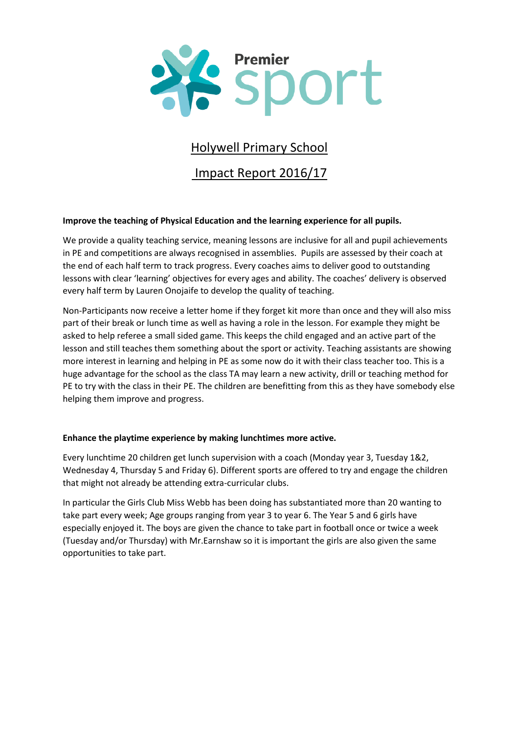

# Holywell Primary School

Impact Report 2016/17

# **Improve the teaching of Physical Education and the learning experience for all pupils.**

We provide a quality teaching service, meaning lessons are inclusive for all and pupil achievements in PE and competitions are always recognised in assemblies. Pupils are assessed by their coach at the end of each half term to track progress. Every coaches aims to deliver good to outstanding lessons with clear 'learning' objectives for every ages and ability. The coaches' delivery is observed every half term by Lauren Onojaife to develop the quality of teaching.

Non-Participants now receive a letter home if they forget kit more than once and they will also miss part of their break or lunch time as well as having a role in the lesson. For example they might be asked to help referee a small sided game. This keeps the child engaged and an active part of the lesson and still teaches them something about the sport or activity. Teaching assistants are showing more interest in learning and helping in PE as some now do it with their class teacher too. This is a huge advantage for the school as the class TA may learn a new activity, drill or teaching method for PE to try with the class in their PE. The children are benefitting from this as they have somebody else helping them improve and progress.

# **Enhance the playtime experience by making lunchtimes more active.**

Every lunchtime 20 children get lunch supervision with a coach (Monday year 3, Tuesday 1&2, Wednesday 4, Thursday 5 and Friday 6). Different sports are offered to try and engage the children that might not already be attending extra-curricular clubs.

In particular the Girls Club Miss Webb has been doing has substantiated more than 20 wanting to take part every week; Age groups ranging from year 3 to year 6. The Year 5 and 6 girls have especially enjoyed it. The boys are given the chance to take part in football once or twice a week (Tuesday and/or Thursday) with Mr.Earnshaw so it is important the girls are also given the same opportunities to take part.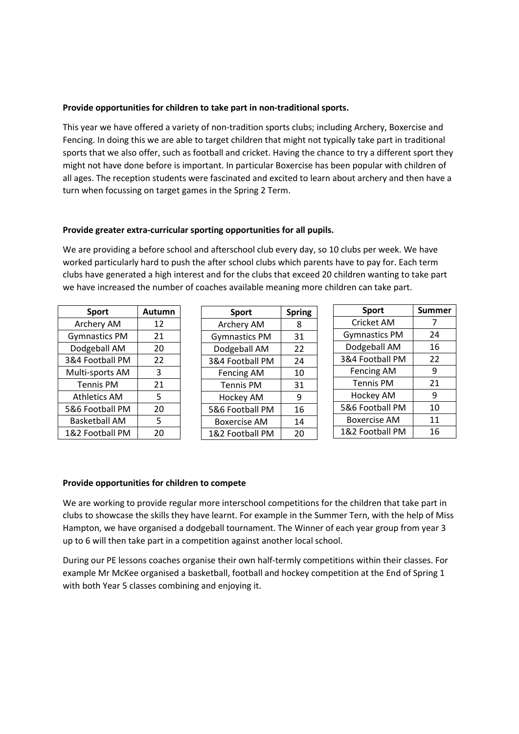## **Provide opportunities for children to take part in non-traditional sports.**

This year we have offered a variety of non-tradition sports clubs; including Archery, Boxercise and Fencing. In doing this we are able to target children that might not typically take part in traditional sports that we also offer, such as football and cricket. Having the chance to try a different sport they might not have done before is important. In particular Boxercise has been popular with children of all ages. The reception students were fascinated and excited to learn about archery and then have a turn when focussing on target games in the Spring 2 Term.

## **Provide greater extra-curricular sporting opportunities for all pupils.**

We are providing a before school and afterschool club every day, so 10 clubs per week. We have worked particularly hard to push the after school clubs which parents have to pay for. Each term clubs have generated a high interest and for the clubs that exceed 20 children wanting to take part we have increased the number of coaches available meaning more children can take part.

| <b>Sport</b>         | Autumn |  |
|----------------------|--------|--|
| Archery AM           | 12     |  |
| <b>Gymnastics PM</b> | 21     |  |
| Dodgeball AM         | 20     |  |
| 3&4 Football PM      | 22     |  |
| Multi-sports AM      | 3      |  |
| <b>Tennis PM</b>     | 21     |  |
| <b>Athletics AM</b>  | 5      |  |
| 5&6 Football PM      | 20     |  |
| <b>Basketball AM</b> | 5      |  |
| 1&2 Football PM      | 20     |  |

| Sport                | <b>Spring</b> |  |
|----------------------|---------------|--|
| Archery AM           | 8             |  |
| <b>Gymnastics PM</b> | 31            |  |
| Dodgeball AM         | 22            |  |
| 3&4 Football PM      | 24            |  |
| <b>Fencing AM</b>    | 10            |  |
| <b>Tennis PM</b>     | 31            |  |
| Hockey AM            | 9             |  |
| 5&6 Football PM      | 16            |  |
| Boxercise AM         | 14            |  |
| 1&2 Football PM      | 20            |  |

| <b>Sport</b>         | <b>Summer</b> |  |  |
|----------------------|---------------|--|--|
| Cricket AM           | 7             |  |  |
| <b>Gymnastics PM</b> | 24            |  |  |
| Dodgeball AM         | 16            |  |  |
| 3&4 Football PM      | 22            |  |  |
| <b>Fencing AM</b>    | 9             |  |  |
| <b>Tennis PM</b>     | 21            |  |  |
| <b>Hockey AM</b>     | 9             |  |  |
| 5&6 Football PM      | 10            |  |  |
| Boxercise AM         | 11            |  |  |
| 1&2 Football PM      | 16            |  |  |

#### **Provide opportunities for children to compete**

We are working to provide regular more interschool competitions for the children that take part in clubs to showcase the skills they have learnt. For example in the Summer Tern, with the help of Miss Hampton, we have organised a dodgeball tournament. The Winner of each year group from year 3 up to 6 will then take part in a competition against another local school.

During our PE lessons coaches organise their own half-termly competitions within their classes. For example Mr McKee organised a basketball, football and hockey competition at the End of Spring 1 with both Year 5 classes combining and enjoying it.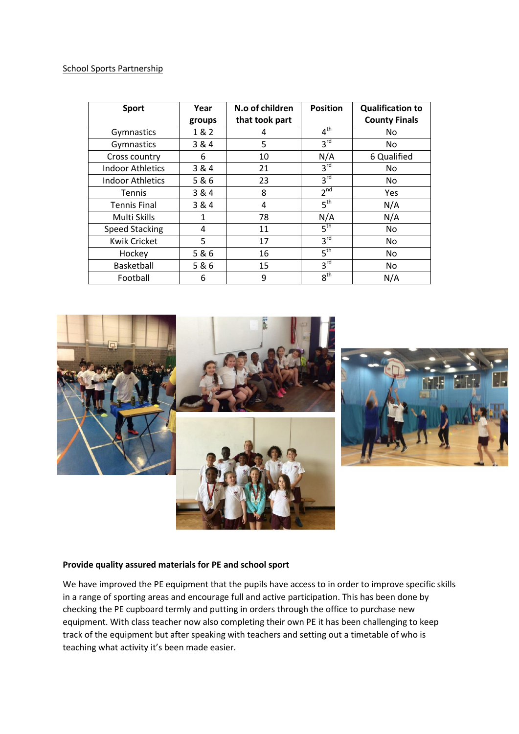### School Sports Partnership

| <b>Sport</b>            | Year   | N.o of children | <b>Position</b> | <b>Qualification to</b> |
|-------------------------|--------|-----------------|-----------------|-------------------------|
|                         | groups | that took part  |                 | <b>County Finals</b>    |
| Gymnastics              | 1 & 2  | 4               | 4 <sup>th</sup> | No                      |
| Gymnastics              | 3 & 4  | 5               | 3 <sup>rd</sup> | No                      |
| Cross country           | 6      | 10              | N/A             | 6 Qualified             |
| Indoor Athletics        | 3 & 4  | 21              | 3 <sup>rd</sup> | No.                     |
| <b>Indoor Athletics</b> | 5 & 6  | 23              | 3 <sup>rd</sup> | No                      |
| <b>Tennis</b>           | 3 & 4  | 8               | 2 <sup>nd</sup> | Yes                     |
| <b>Tennis Final</b>     | 3 & 4  | 4               | 5 <sup>th</sup> | N/A                     |
| Multi Skills            | 1      | 78              | N/A             | N/A                     |
| <b>Speed Stacking</b>   | 4      | 11              | 5 <sup>th</sup> | No                      |
| <b>Kwik Cricket</b>     | 5      | 17              | $3^{\text{rd}}$ | No                      |
| Hockey                  | 5 & 6  | 16              | 5 <sup>th</sup> | No                      |
| <b>Basketball</b>       | 5&6    | 15              | $3^{\text{rd}}$ | No                      |
| Football                | 6      | 9               | 8 <sup>th</sup> | N/A                     |



### **Provide quality assured materials for PE and school sport**

We have improved the PE equipment that the pupils have access to in order to improve specific skills in a range of sporting areas and encourage full and active participation. This has been done by checking the PE cupboard termly and putting in orders through the office to purchase new equipment. With class teacher now also completing their own PE it has been challenging to keep track of the equipment but after speaking with teachers and setting out a timetable of who is teaching what activity it's been made easier.